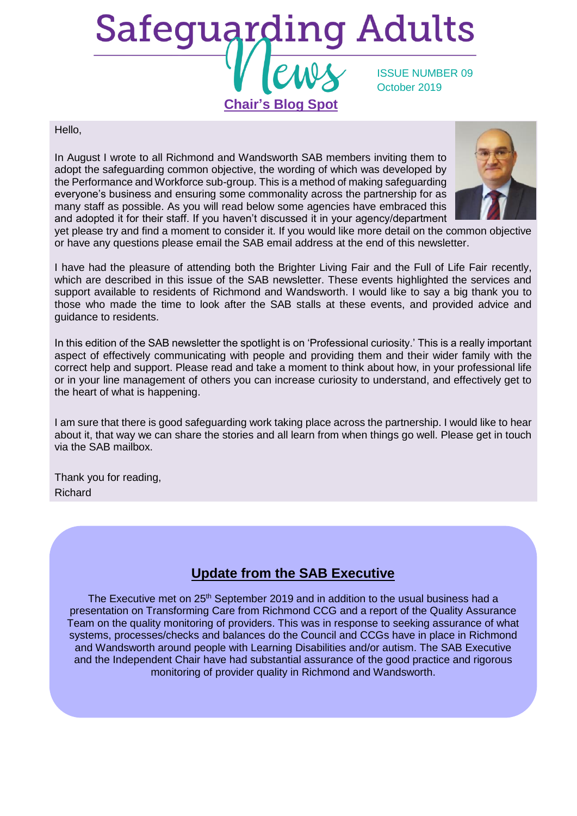

Hello,

In August I wrote to all Richmond and Wandsworth SAB members inviting them to adopt the safeguarding common objective, the wording of which was developed by the Performance and Workforce sub-group. This is a method of making safeguarding everyone's business and ensuring some commonality across the partnership for as many staff as possible. As you will read below some agencies have embraced this and adopted it for their staff. If you haven't discussed it in your agency/department



yet please try and find a moment to consider it. If you would like more detail on the common objective or have any questions please email the SAB email address at the end of this newsletter.

I have had the pleasure of attending both the Brighter Living Fair and the Full of Life Fair recently, which are described in this issue of the SAB newsletter. These events highlighted the services and support available to residents of Richmond and Wandsworth. I would like to say a big thank you to those who made the time to look after the SAB stalls at these events, and provided advice and guidance to residents.

In this edition of the SAB newsletter the spotlight is on 'Professional curiosity.' This is a really important aspect of effectively communicating with people and providing them and their wider family with the correct help and support. Please read and take a moment to think about how, in your professional life or in your line management of others you can increase curiosity to understand, and effectively get to the heart of what is happening.

I am sure that there is good safeguarding work taking place across the partnership. I would like to hear about it, that way we can share the stories and all learn from when things go well. Please get in touch via the SAB mailbox.

Thank you for reading, Richard

## **Update from the SAB Executive**

The Executive met on 25<sup>th</sup> September 2019 and in addition to the usual business had a presentation on Transforming Care from Richmond CCG and a report of the Quality Assurance Team on the quality monitoring of providers. This was in response to seeking assurance of what systems, processes/checks and balances do the Council and CCGs have in place in Richmond and Wandsworth around people with Learning Disabilities and/or autism. The SAB Executive and the Independent Chair have had substantial assurance of the good practice and rigorous monitoring of provider quality in Richmond and Wandsworth.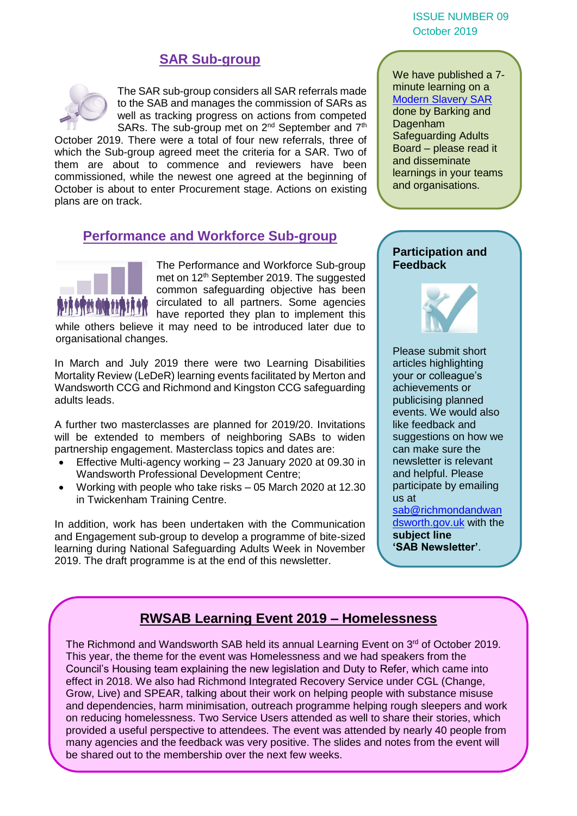ISSUE NUMBER 09 October 2019

### **SAR Sub-group**



The SAR sub-group considers all SAR referrals made to the SAB and manages the commission of SARs as well as tracking progress on actions from competed SARs. The sub-group met on 2<sup>nd</sup> September and 7<sup>th</sup>

October 2019. There were a total of four new referrals, three of which the Sub-group agreed meet the criteria for a SAR. Two of them are about to commence and reviewers have been commissioned, while the newest one agreed at the beginning of October is about to enter Procurement stage. Actions on existing plans are on track.

### **Performance and Workforce Sub-group**



The Performance and Workforce Sub-group met on 12<sup>th</sup> September 2019. The suggested common safeguarding objective has been circulated to all partners. Some agencies **III** have reported they plan to implement this

while others believe it may need to be introduced later due to organisational changes.

In March and July 2019 there were two Learning Disabilities Mortality Review (LeDeR) learning events facilitated by Merton and Wandsworth CCG and Richmond and Kingston CCG safeguarding adults leads.

A further two masterclasses are planned for 2019/20. Invitations will be extended to members of neighboring SABs to widen partnership engagement. Masterclass topics and dates are:

- Effective Multi-agency working 23 January 2020 at 09.30 in Wandsworth Professional Development Centre;
- Working with people who take risks 05 March 2020 at 12.30 in Twickenham Training Centre.

In addition, work has been undertaken with the Communication and Engagement sub-group to develop a programme of bite-sized learning during National Safeguarding Adults Week in November 2019. The draft programme is at the end of this newsletter.

We have published a 7 minute learning on a **[Modern Slavery SAR](https://www.richmond.gov.uk/media/18026/seven_minute_briefing_drina.pdf)** done by Barking and Dagenham Safeguarding Adults Board – please read it and disseminate learnings in your teams and organisations.

### **Participation and Feedback**



Please submit short articles highlighting your or colleague's achievements or publicising planned events. We would also like feedback and suggestions on how we can make sure the newsletter is relevant and helpful. Please participate by emailing us at [sab@richmondandwan](mailto:sab@richmondandwandsworth.gov.uk) [dsworth.gov.uk](mailto:sab@richmondandwandsworth.gov.uk) with the **subject line 'SAB Newsletter'**.

### **RWSAB Learning Event 2019 – Homelessness**

The Richmond and Wandsworth SAB held its annual Learning Event on 3<sup>rd</sup> of October 2019. This year, the theme for the event was Homelessness and we had speakers from the Council's Housing team explaining the new legislation and Duty to Refer, which came into effect in 2018. We also had Richmond Integrated Recovery Service under CGL (Change, Grow, Live) and SPEAR, talking about their work on helping people with substance misuse and dependencies, harm minimisation, outreach programme helping rough sleepers and work on reducing homelessness. Two Service Users attended as well to share their stories, which provided a useful perspective to attendees. The event was attended by nearly 40 people from many agencies and the feedback was very positive. The slides and notes from the event will be shared out to the membership over the next few weeks.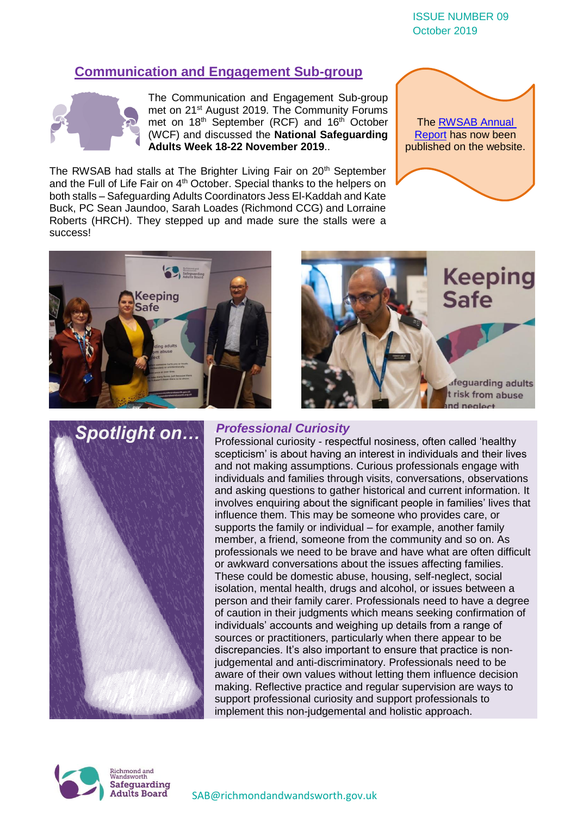ISSUE NUMBER 09 October 2019

### **Communication and Engagement Sub-group**



The Communication and Engagement Sub-group met on 21<sup>st</sup> August 2019. The Community Forums met on 18<sup>th</sup> September (RCF) and 16<sup>th</sup> October (WCF) and discussed the **National Safeguarding Adults Week 18-22 November 2019**..

The RWSAB had stalls at The Brighter Living Fair on 20<sup>th</sup> September and the Full of Life Fair on 4<sup>th</sup> October. Special thanks to the helpers on both stalls – Safeguarding Adults Coordinators Jess El-Kaddah and Kate Buck, PC Sean Jaundoo, Sarah Loades (Richmond CCG) and Lorraine Roberts (HRCH). They stepped up and made sure the stalls were a success!









### *Professional Curiosity*

Professional curiosity - respectful nosiness, often called 'healthy scepticism' is about having an interest in individuals and their lives and not making assumptions. Curious professionals engage with individuals and families through visits, conversations, observations and asking questions to gather historical and current information. It involves enquiring about the significant people in families' lives that influence them. This may be someone who provides care, or supports the family or individual – for example, another family member, a friend, someone from the community and so on. As professionals we need to be brave and have what are often difficult or awkward conversations about the issues affecting families. These could be domestic abuse, housing, self-neglect, social isolation, mental health, drugs and alcohol, or issues between a person and their family carer. Professionals need to have a degree of caution in their judgments which means seeking confirmation of individuals' accounts and weighing up details from a range of sources or practitioners, particularly when there appear to be discrepancies. It's also important to ensure that practice is nonjudgemental and anti-discriminatory. Professionals need to be aware of their own values without letting them influence decision making. Reflective practice and regular supervision are ways to support professional curiosity and support professionals to implement this non-judgemental and holistic approach.